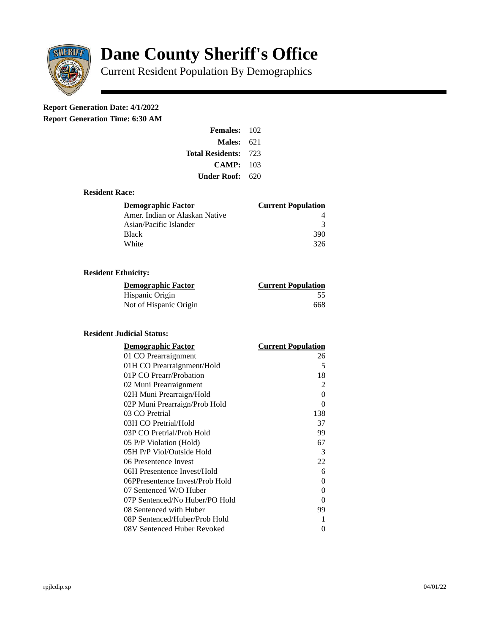

# **Dane County Sheriff's Office**

Current Resident Population By Demographics

# **Report Generation Date: 4/1/2022**

**Report Generation Time: 6:30 AM** 

| <b>Females: 102</b>         |  |
|-----------------------------|--|
| Males:<br>621               |  |
| <b>Total Residents: 723</b> |  |
| CAMP:<br>103                |  |
| Under Roof:<br>620          |  |
|                             |  |

### **Resident Race:**

| <b>Demographic Factor</b>      | <b>Current Population</b> |
|--------------------------------|---------------------------|
| Amer. Indian or Alaskan Native |                           |
| Asian/Pacific Islander         | २                         |
| Black                          | 390                       |
| White                          | 326                       |

## **Resident Ethnicity:**

| <u> Demographic Factor</u> | <b>Current Population</b> |
|----------------------------|---------------------------|
| Hispanic Origin            | -55                       |
| Not of Hispanic Origin     | 668                       |

### **Resident Judicial Status:**

| <b>Demographic Factor</b>       | <b>Current Population</b> |
|---------------------------------|---------------------------|
| 01 CO Prearraignment            | 26                        |
| 01H CO Prearraignment/Hold      | 5                         |
| 01P CO Prearr/Probation         | 18                        |
| 02 Muni Prearraignment          | $\overline{2}$            |
| 02H Muni Prearraign/Hold        | $\Omega$                  |
| 02P Muni Prearraign/Prob Hold   | 0                         |
| 03 CO Pretrial                  | 138                       |
| 03H CO Pretrial/Hold            | 37                        |
| 03P CO Pretrial/Prob Hold       | 99                        |
| 05 P/P Violation (Hold)         | 67                        |
| 05H P/P Viol/Outside Hold       | 3                         |
| 06 Presentence Invest           | 22                        |
| 06H Presentence Invest/Hold     | 6                         |
| 06PPresentence Invest/Prob Hold | 0                         |
| 07 Sentenced W/O Huber          | 0                         |
| 07P Sentenced/No Huber/PO Hold  | 0                         |
| 08 Sentenced with Huber         | 99                        |
| 08P Sentenced/Huber/Prob Hold   | 1                         |
| 08V Sentenced Huber Revoked     | 0                         |